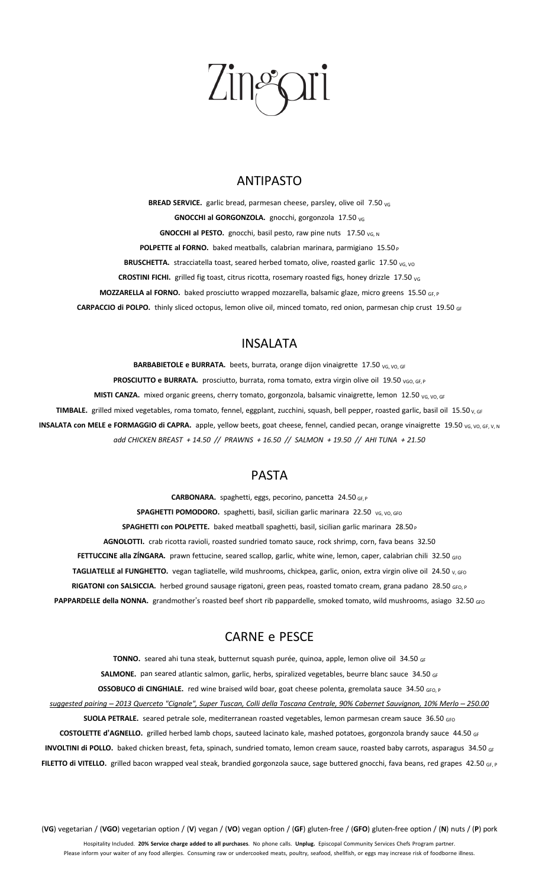# $\int_0^\infty$

#### ANTIPASTO

**BREAD SERVICE.** garlic bread, parmesan cheese, parsley, olive oil 7.50 <sub>VG</sub> **GNOCCHI al GORGONZOLA.** gnocchi, gorgonzola 17.50 vG **GNOCCHI** al PESTO. gnocchi, basil pesto, raw pine nuts 17.50 <sub>VG, N</sub> **POLPETTE al FORNO.** baked meatballs, calabrian marinara, parmigiano 15.50 <sup>P</sup> BRUSCHETTA. stracciatella toast, seared herbed tomato, olive, roasted garlic 17.50 <sub>VG, VO</sub> **CROSTINI FICHI.** grilled fig toast, citrus ricotta, rosemary roasted figs, honey drizzle 17.50 <sub>VG</sub> **MOZZARELLA al FORNO.** baked prosciutto wrapped mozzarella, balsamic glaze, micro greens 15.50 GF, P **CARPACCIO di POLPO.** thinly sliced octopus, lemon olive oil, minced tomato, red onion, parmesan chip crust 19.50 GF

#### INSALATA

**BARBABIETOLE e BURRATA.** beets, burrata, orange dijon vinaigrette 17.50 vG, VO, GF **PROSCIUTTO e BURRATA.** prosciutto, burrata, roma tomato, extra virgin olive oil 19.50 <sub>VGO, GF, P</sub> **MISTI CANZA.** mixed organic greens, cherry tomato, gorgonzola, balsamic vinaigrette, lemon 12.50 v<sub>G, VO, GF</sub> TIMBALE. grilled mixed vegetables, roma tomato, fennel, eggplant, zucchini, squash, bell pepper, roasted garlic, basil oil 15.50 v, GF **INSALATA** con MELE e FORMAGGIO di CAPRA. apple, yellow beets, goat cheese, fennel, candied pecan, orange vinaigrette 19.50 vG, vo, GF, V, N *add CHICKEN BREAST + 14.50 // PRAWNS + 16.50 // SALMON + 19.50 // AHI TUNA + 21.50*

#### PASTA

**CARBONARA.** spaghetti, eggs, pecorino, pancetta 24.50 GF, <sup>P</sup> **SPAGHETTI POMODORO.** spaghetti, basil, sicilian garlic marinara 22.50 VG, VO, GFO **SPAGHETTI con POLPETTE.** baked meatball spaghetti, basil, sicilian garlic marinara 28.50 <sup>P</sup> **AGNOLOTTI.** crab ricotta ravioli, roasted sundried tomato sauce, rock shrimp, corn, fava beans 32.50 FETTUCCINE alla ZÍNGARA. prawn fettucine, seared scallop, garlic, white wine, lemon, caper, calabrian chili 32.50 <sub>GFO</sub> **TAGLIATELLE al FUNGHETTO.** vegan tagliatelle, wild mushrooms, chickpea, garlic, onion, extra virgin olive oil 24.50 v, GFO **RIGATONI con SALSICCIA.** herbed ground sausage rigatoni, green peas, roasted tomato cream, grana padano 28.50 <sub>GFO, P</sub> PAPPARDELLE della NONNA. grandmother's roasted beef short rib pappardelle, smoked tomato, wild mushrooms, asiago 32.50 GFO

### CARNE e PESCE

TONNO. seared ahi tuna steak, butternut squash purée, quinoa, apple, lemon olive oil 34.50 GF SALMONE. pan seared atlantic salmon, garlic, herbs, spiralized vegetables, beurre blanc sauce 34.50 GF **OSSOBUCO di CINGHIALE.** red wine braised wild boar, goat cheese polenta, gremolata sauce 34.50 GFO, P suggested pairing - 2013 Querceto "Cignale", Super Tuscan, Colli della Toscana Centrale, 90% Cabernet Sauvignon, 10% Merlo - 250.00 **SUOLA PETRALE.** seared petrale sole, mediterranean roasted vegetables, lemon parmesan cream sauce 36.50 <sub>GFO</sub> **COSTOLETTE d'AGNELLO.** grilled herbed lamb chops, sauteed lacinato kale, mashed potatoes, gorgonzola brandy sauce 44.50 GF **INVOLTINI di POLLO.** baked chicken breast, feta, spinach, sundried tomato, lemon cream sauce, roasted baby carrots, asparagus 34.50 GF

**FILETTO di VITELLO.** grilled bacon wrapped veal steak, brandied gorgonzola sauce, sage buttered gnocchi, fava beans, red grapes 42.50 GF, <sup>P</sup>

(**VG**) vegetarian / (**VGO**) vegetarian option / (**V**) vegan / (**VO**) vegan option / (**GF**) gluten-free / (**GFO**) gluten-free option / (**N**) nuts / (**P**) pork

Hospitality Included. **20% Service charge added to all purchases**. No phone calls. **Unplug.** Episcopal Community Services Chefs Program partner. Please inform your waiter of any food allergies. Consuming raw or undercooked meats, poultry, seafood, shellfish, or eggs may increase risk of foodborne illness.